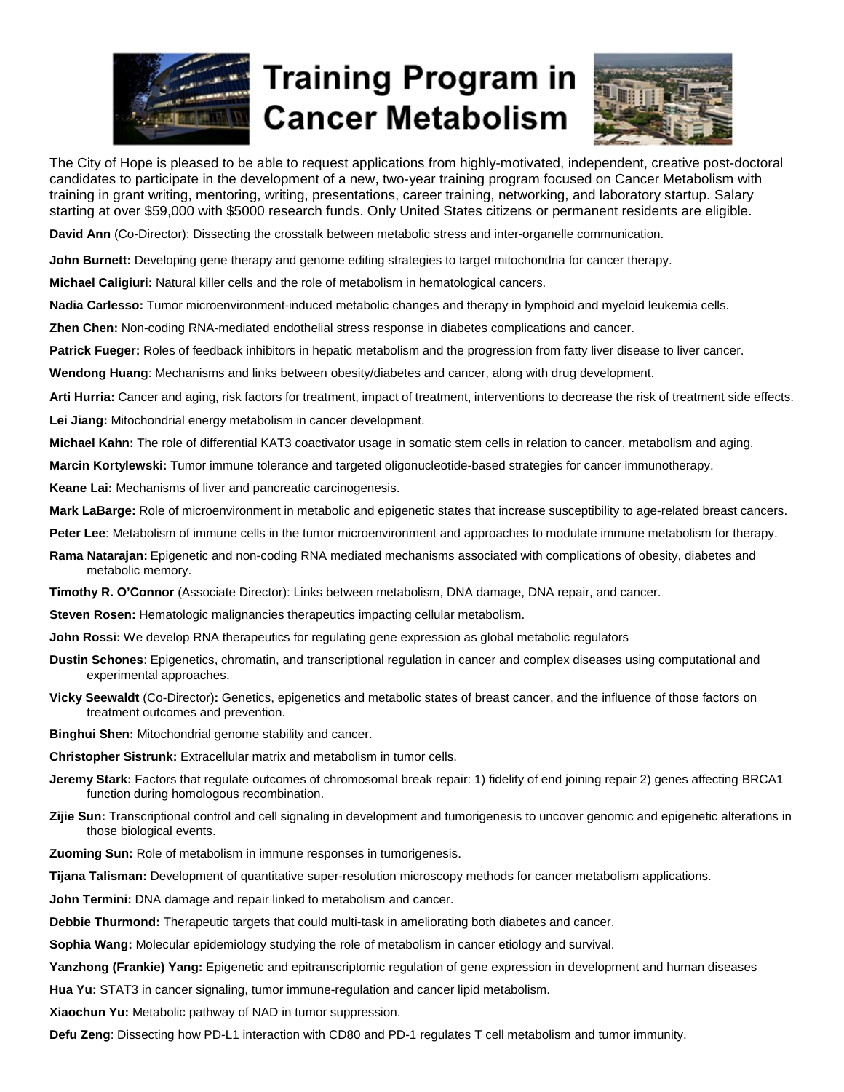

## **Training Program in Cancer Metabolism**



The City of Hope is pleased to be able to request applications from highly-motivated, independent, creative post-doctoral candidates to participate in the development of a new, two-year training program focused on Cancer Metabolism with training in grant writing, mentoring, writing, presentations, career training, networking, and laboratory startup. Salary starting at over \$59,000 with \$5000 research funds. Only United States citizens or permanent residents are eligible.

**David Ann** (Co-Director): Dissecting the crosstalk between metabolic stress and inter-organelle communication.

**John Burnett:** Developing gene therapy and genome editing strategies to target mitochondria for cancer therapy.

**Michael Caligiuri:** Natural killer cells and the role of metabolism in hematological cancers.

**Nadia Carlesso:** Tumor microenvironment-induced metabolic changes and therapy in lymphoid and myeloid leukemia cells.

**Zhen Chen:** Non-coding RNA-mediated endothelial stress response in diabetes complications and cancer.

**Patrick Fueger:** Roles of feedback inhibitors in hepatic metabolism and the progression from fatty liver disease to liver cancer.

**Wendong Huang**: Mechanisms and links between obesity/diabetes and cancer, along with drug development.

**Arti Hurria:** Cancer and aging, risk factors for treatment, impact of treatment, interventions to decrease the risk of treatment side effects.

**Lei Jiang:** Mitochondrial energy metabolism in cancer development.

**Michael Kahn:** The role of differential KAT3 coactivator usage in somatic stem cells in relation to cancer, metabolism and aging.

**Marcin Kortylewski:** Tumor immune tolerance and targeted oligonucleotide-based strategies for cancer immunotherapy.

**Keane Lai:** Mechanisms of liver and pancreatic carcinogenesis.

**Mark LaBarge:** Role of microenvironment in metabolic and epigenetic states that increase susceptibility to age-related breast cancers.

**Peter Lee**: Metabolism of immune cells in the tumor microenvironment and approaches to modulate immune metabolism for therapy.

**Rama Natarajan:** Epigenetic and non-coding RNA mediated mechanisms associated with complications of obesity, diabetes and metabolic memory.

**Timothy R. O'Connor** (Associate Director): Links between metabolism, DNA damage, DNA repair, and cancer.

**Steven Rosen:** Hematologic malignancies therapeutics impacting cellular metabolism.

**John Rossi:** We develop RNA therapeutics for regulating gene expression as global metabolic regulators

- **Dustin Schones**: Epigenetics, chromatin, and transcriptional regulation in cancer and complex diseases using computational and experimental approaches.
- **Vicky Seewaldt** (Co-Director)**:** Genetics, epigenetics and metabolic states of breast cancer, and the influence of those factors on treatment outcomes and prevention.

**Binghui Shen:** Mitochondrial genome stability and cancer.

**Christopher Sistrunk:** Extracellular matrix and metabolism in tumor cells.

- **Jeremy Stark:** Factors that regulate outcomes of chromosomal break repair: 1) fidelity of end joining repair 2) genes affecting BRCA1 function during homologous recombination.
- **Zijie Sun:** Transcriptional control and cell signaling in development and tumorigenesis to uncover genomic and epigenetic alterations in those biological events.

**Zuoming Sun:** Role of metabolism in immune responses in tumorigenesis.

**Tijana Talisman:** Development of quantitative super-resolution microscopy methods for cancer metabolism applications.

**John Termini:** DNA damage and repair linked to metabolism and cancer.

**Debbie Thurmond:** Therapeutic targets that could multi-task in ameliorating both diabetes and cancer.

**Sophia Wang:** Molecular epidemiology studying the role of metabolism in cancer etiology and survival.

**Yanzhong (Frankie) Yang:** Epigenetic and epitranscriptomic regulation of gene expression in development and human diseases

**Hua Yu:** STAT3 in cancer signaling, tumor immune-regulation and cancer lipid metabolism.

**Xiaochun Yu:** Metabolic pathway of NAD in tumor suppression.

**Defu Zeng**: Dissecting how PD-L1 interaction with CD80 and PD-1 regulates T cell metabolism and tumor immunity.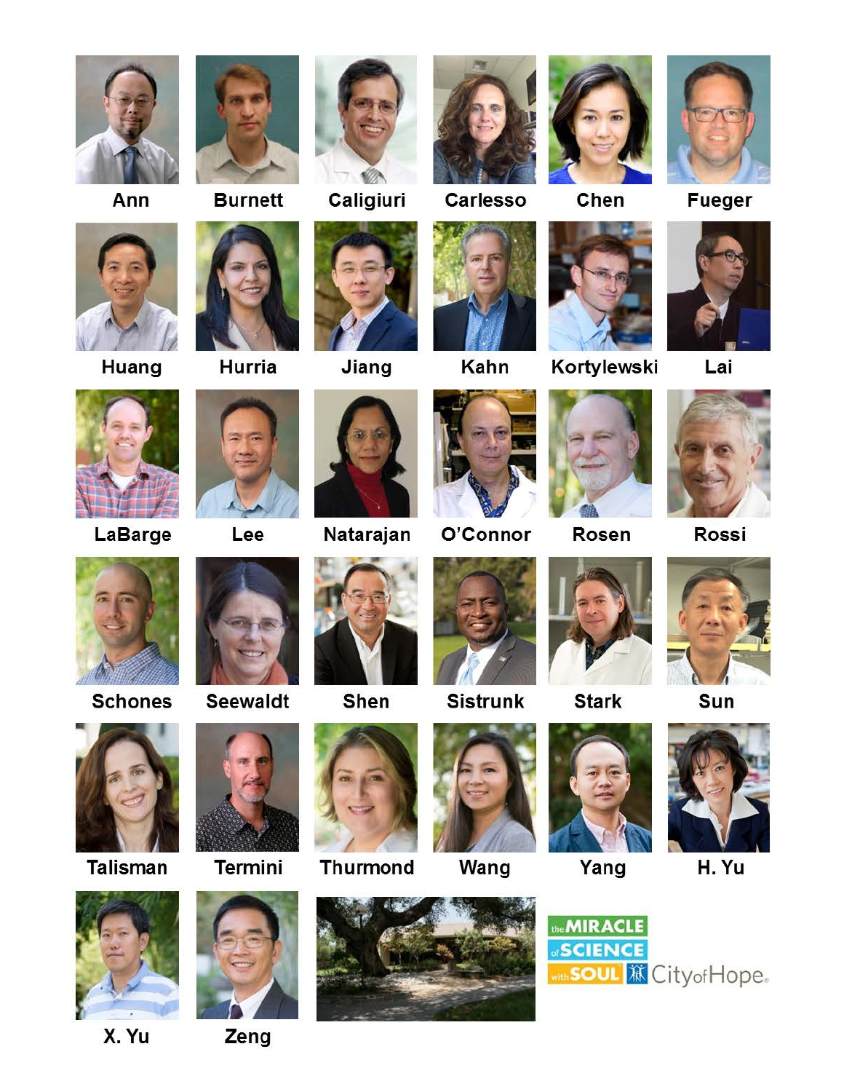

Ann







Caligiuri



 $\mathscr{D}$ 

Jiang



Carlesso



Chen



**Fueger** 



Lai



Huang

LaBarge





Lee



Natarajan



Kahn

O'Connor



Rosen



Rossi



**Schones** 



**Talisman** 



X. Yu









**Sistrunk** 

Wang



**Stark** 



Sun



Yang



H. Yu



Zeng